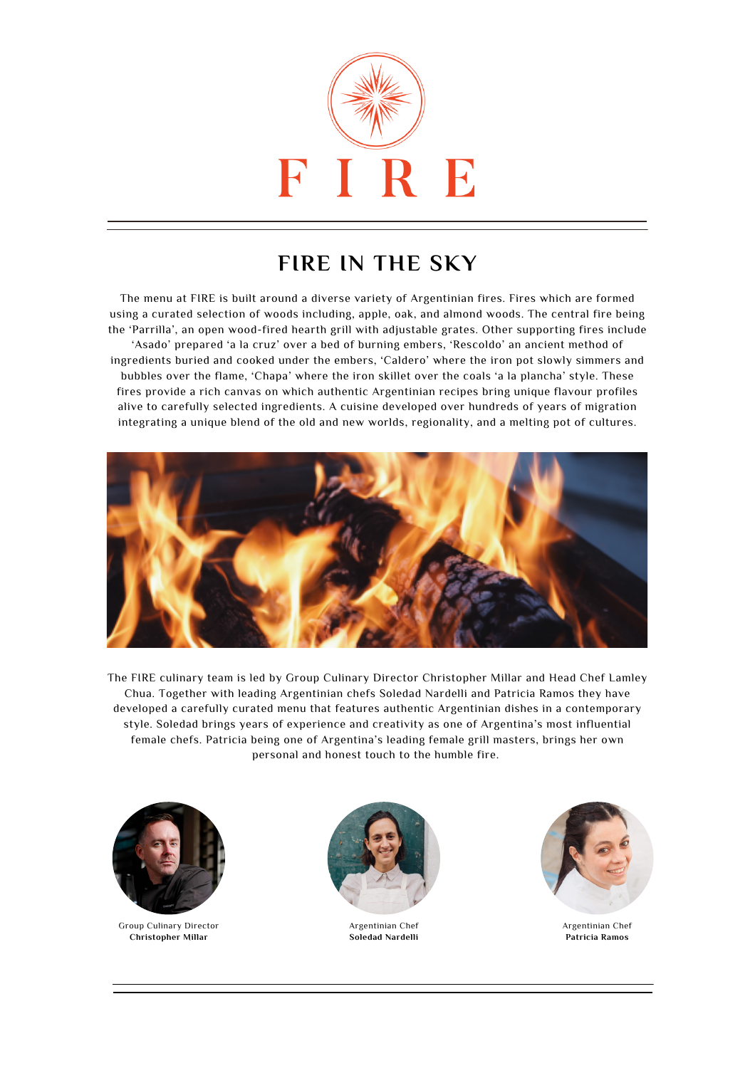

## **FIRE IN THE SKY**

The menu at FIRE is built around a diverse variety of Argentinian fires. Fires which are formed using a curated selection of woods including, apple, oak, and almond woods. The central fire being the 'Parrilla', an open wood-fired hearth grill with adjustable grates. Other supporting fires include 'Asado' prepared 'a la cruz' over a bed of burning embers, 'Rescoldo' an ancient method of ingredients buried and cooked under the embers, 'Caldero' where the iron pot slowly simmers and bubbles over the flame, 'Chapa' where the iron skillet over the coals 'a la plancha' style. These fires provide a rich canvas on which authentic Argentinian recipes bring unique flavour profiles alive to carefully selected ingredients. A cuisine developed over hundreds of years of migration integrating a unique blend of the old and new worlds, regionality, and a melting pot of cultures.



The FIRE culinary team is led by Group Culinary Director Christopher Millar and Head Chef Lamley Chua. Together with leading Argentinian chefs Soledad Nardelli and Patricia Ramos they have developed a carefully curated menu that features authentic Argentinian dishes in a contemporary style. Soledad brings years of experience and creativity as one of Argentina's most influential female chefs. Patricia being one of Argentina's leading female grill masters, brings her own personal and honest touch to the humble fire.



Group Culinary Director **Christopher Millar**



Argentinian Chef **Soledad Nardelli**



Argentinian Chef **Patricia Ramos**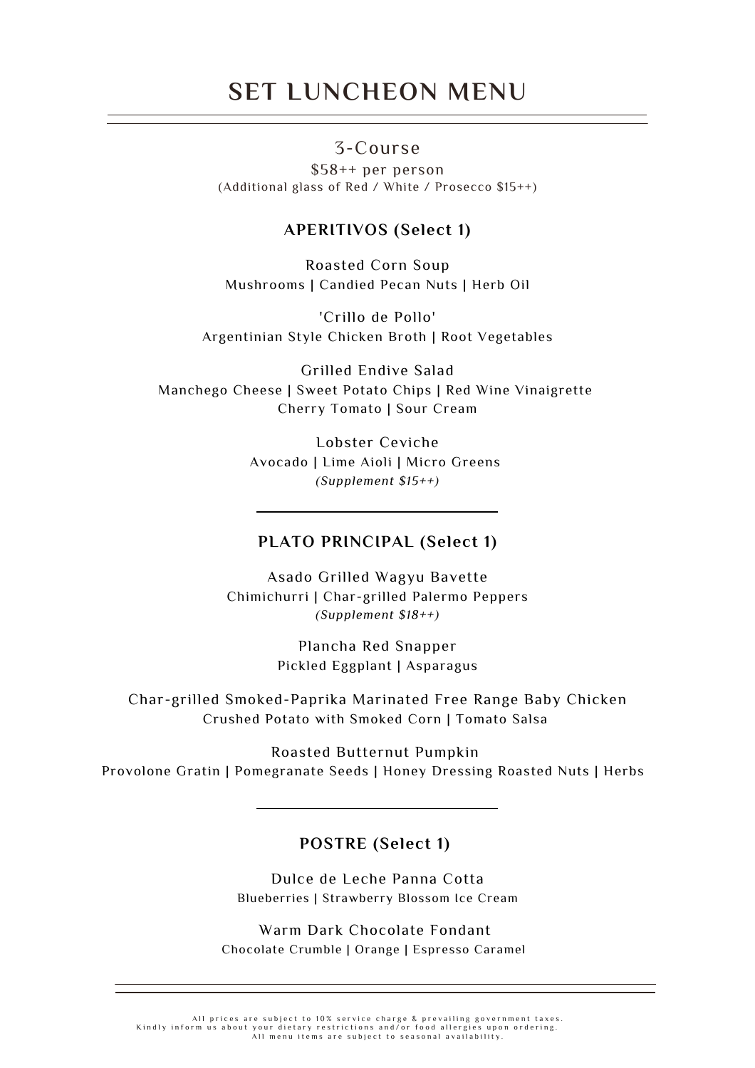## **SET LUNCHEON MENU**

## 3-Course

\$58++ per person (Additional glass of Red / White / Prosecco \$15++)

### **APERITIVOS (Select 1)**

Roasted Corn Soup Mushrooms | Candied Pecan Nuts | Herb Oil

'Crillo de Pollo' Argentinian Style Chicken Broth | Root Vegetables

Grilled Endive Salad Manchego Cheese | Sweet Potato Chips | Red Wine Vinaigrette Cherry Tomato | Sour Cream

> Lobster Ceviche Avocado | Lime Aioli | Micro Greens *(Supplement \$15++)*

#### **PLATO PRINCIPAL (Select 1)**

Asado Grilled Wagyu Bavette Chimichurri | Char-grilled Palermo Peppers *(Supplement \$18++)*

> Plancha Red Snapper Pickled Eggplant | Asparagus

Char-grilled Smoked-Paprika Marinated Free Range Baby Chicken Crushed Potato with Smoked Corn | Tomato Salsa

Roasted Butternut Pumpkin Provolone Gratin | Pomegranate Seeds | Honey Dressing Roasted Nuts | Herbs

#### **POSTRE (Select 1)**

Dulce de Leche Panna Cotta Blueberries | Strawberry Blossom Ice Cream

Warm Dark Chocolate Fondant Chocolate Crumble | Orange | Espresso Caramel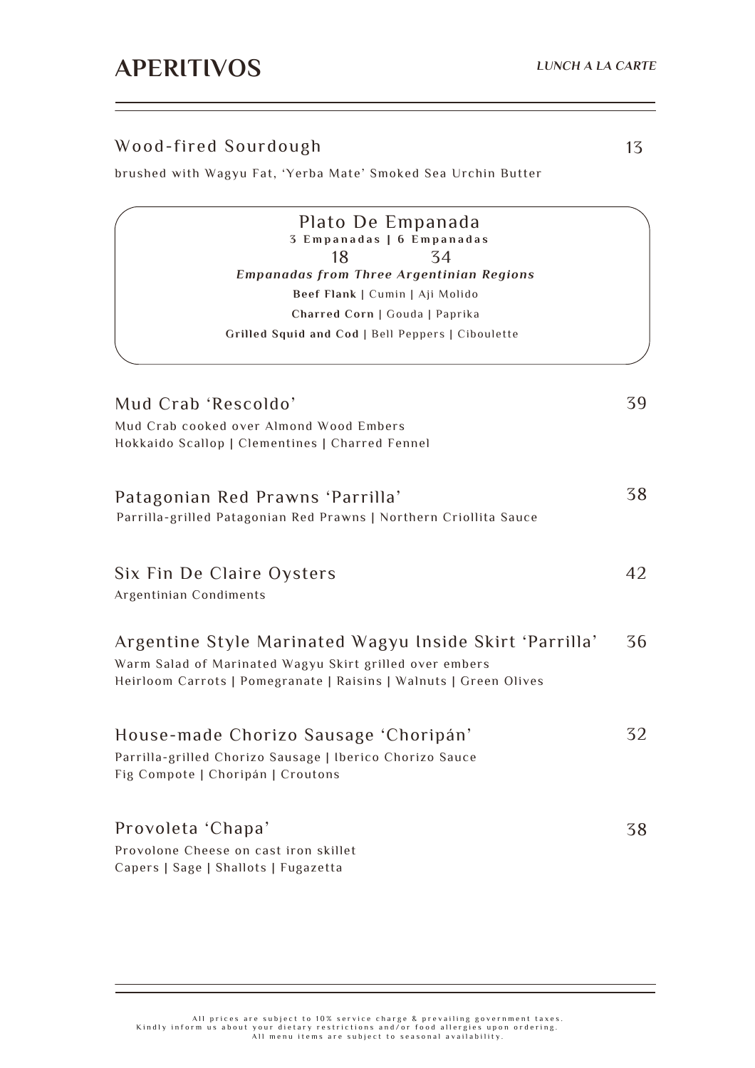## Wood-fired Sourdough

brushed with Wagyu Fat, 'Yerba Mate' Smoked Sea Urchin Butter

| Plato De Empanada<br>3 Empanadas   6 Empanadas                                                                                                                                          |    |
|-----------------------------------------------------------------------------------------------------------------------------------------------------------------------------------------|----|
| 18<br>34                                                                                                                                                                                |    |
| <b>Empanadas from Three Argentinian Regions</b>                                                                                                                                         |    |
| Beef Flank   Cumin   Aji Molido                                                                                                                                                         |    |
| Charred Corn   Gouda   Paprika                                                                                                                                                          |    |
| Grilled Squid and Cod   Bell Peppers   Ciboulette                                                                                                                                       |    |
| Mud Crab 'Rescoldo'                                                                                                                                                                     | 39 |
| Mud Crab cooked over Almond Wood Embers                                                                                                                                                 |    |
| Hokkaido Scallop   Clementines   Charred Fennel                                                                                                                                         |    |
| Patagonian Red Prawns 'Parrilla'                                                                                                                                                        | 38 |
|                                                                                                                                                                                         |    |
| Six Fin De Claire Oysters<br>Argentinian Condiments                                                                                                                                     | 42 |
| Argentine Style Marinated Wagyu Inside Skirt 'Parrilla'<br>Warm Salad of Marinated Wagyu Skirt grilled over embers<br>Heirloom Carrots   Pomegranate   Raisins   Walnuts   Green Olives | 36 |
| House-made Chorizo Sausage 'Choripán'<br>Parrilla-grilled Chorizo Sausage   Iberico Chorizo Sauce<br>Fig Compote   Choripán   Croutons                                                  | 32 |
| Provoleta 'Chapa'<br>Provolone Cheese on cast iron skillet                                                                                                                              | 38 |
| Parrilla-grilled Patagonian Red Prawns   Northern Criollita Sauce<br>Capers   Sage   Shallots   Fugazetta                                                                               |    |

### 13

All prices are subject to 10% service charge & prevailing government taxes.<br>Kindly inform us about your dietary restrictions and/or food allergies upon ordering.<br>All menu items are subject to seasonal availability.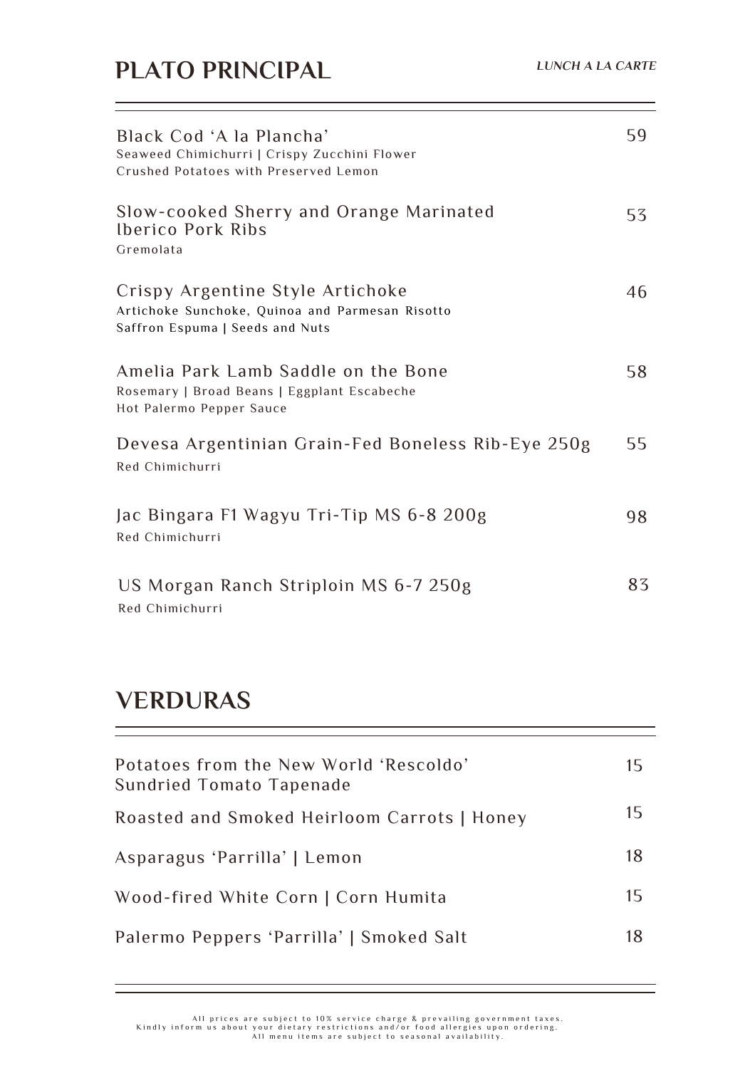L,

| Black Cod 'A la Plancha'<br>Seaweed Chimichurri   Crispy Zucchini Flower<br>Crushed Potatoes with Preserved Lemon      | 59 |
|------------------------------------------------------------------------------------------------------------------------|----|
| Slow-cooked Sherry and Orange Marinated<br><b>Iberico Pork Ribs</b><br>Gremolata                                       | 53 |
| Crispy Argentine Style Artichoke<br>Artichoke Sunchoke, Quinoa and Parmesan Risotto<br>Saffron Espuma   Seeds and Nuts | 46 |
| Amelia Park Lamb Saddle on the Bone<br>Rosemary   Broad Beans   Eggplant Escabeche<br>Hot Palermo Pepper Sauce         | 58 |
| Devesa Argentinian Grain-Fed Boneless Rib-Eye 250g<br>Red Chimichurri                                                  | 55 |
| Jac Bingara F1 Wagyu Tri-Tip MS 6-8 200g<br>Red Chimichurri                                                            | 98 |
| US Morgan Ranch Striploin MS 6-7 250g<br>Red Chimichurri                                                               | 83 |

# **VERDURAS**

| Potatoes from the New World 'Rescoldo'<br>Sundried Tomato Tapenade | 15 |
|--------------------------------------------------------------------|----|
| Roasted and Smoked Heirloom Carrots   Honey                        | 15 |
| Asparagus 'Parrilla'   Lemon                                       | 18 |
| Wood-fired White Corn   Corn Humita                                | 15 |
| Palermo Peppers 'Parrilla'   Smoked Salt                           | 18 |